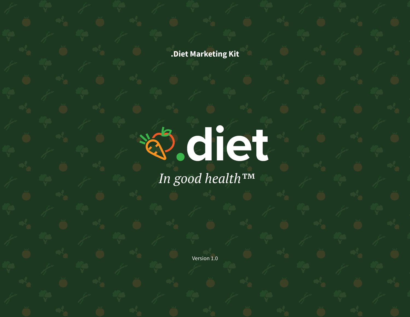**.Diet Marketing Kit**



*In good health™*

Version 1.0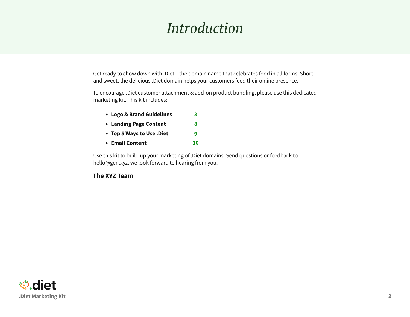### *Introduction*

Get ready to chow down with .Diet – the domain name that celebrates food in all forms. Short and sweet, the delicious .Diet domain helps your customers feed their online presence.

To encourage .Diet customer attachment & add-on product bundling, please use this dedicated marketing kit. This kit includes:

| • Logo & Brand Guidelines | 3  |
|---------------------------|----|
| • Landing Page Content    | 8  |
| • Top 5 Ways to Use .Diet | q  |
| • Email Content           | 10 |

Use this kit to build up your marketing of .Diet domains. Send questions or feedback to hello@gen.xyz, we look forward to hearing from you.

**The XYZ Team**

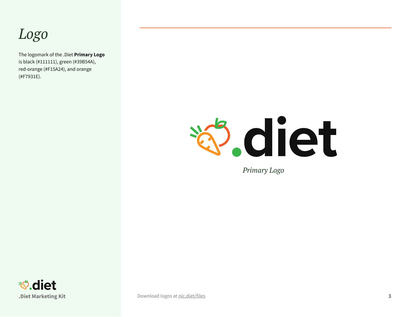### <span id="page-2-0"></span>*Logo*

The logomark of the .Diet **Primary Logo** is black (#111111), green (#39B54A), red-orange (#F15A24), and orange (#F7931E).



*Primary Logo*



**.Diet Marketing Kit 3** [Download logos at](https://nic.diet/files) nic.diet/files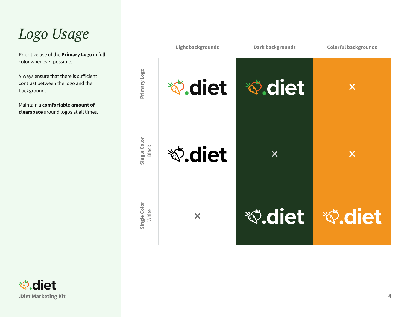### *Logo Usage*

Prioritize use of the **Primary Logo** in full color whenever possible.

Always ensure that there is sufficient contrast between the logo and the background.

Maintain a **comfortable amount of clearspace** around logos at all times.



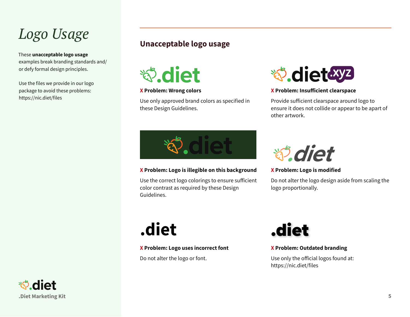### *Logo Usage*

These **unacceptable logo usage** examples break branding standards and/ or defy formal design principles.

Use the files we provide in our logo package to avoid these problems: https://nic.diet/files

#### **Unacceptable logo usage**

**もん diet** 

#### **X Problem: Wrong colors**

Use only approved brand colors as specified in these Design Guidelines.



#### **X Problem: Insufficient clearspace**

Provide sufficient clearspace around logo to ensure it does not collide or appear to be apart of other artwork.



#### **X Problem: Logo is illegible on this background**

Use the correct logo colorings to ensure sufficient color contrast as required by these Design Guidelines.



**X Problem: Logo is modified**

Do not alter the logo design aside from scaling the logo proportionally.

**X Problem: Logo uses incorrect font**

Do not alter the logo or font.



#### **X Problem: Outdated branding**

Use only the official logos found at: https://nic.diet/files

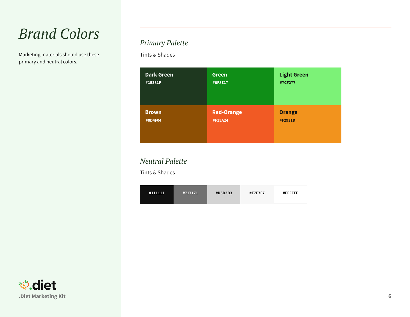### *Brand Colors*

Marketing materials should use these primary and neutral colors.

#### *Primary Palette*

Tints & Shades

| <b>Dark Green</b> | <b>Green</b>      | <b>Light Green</b> |
|-------------------|-------------------|--------------------|
| #1E381F           | #0F8E17           | #7CF277            |
| <b>Brown</b>      | <b>Red-Orange</b> | <b>Orange</b>      |
| #8D4F04           | #F15A24           | #F2931D            |

#### *Neutral Palette*

Tints & Shades

| #717171<br>#111111 | <b>#D3D3D3</b> | #F7F7F7 | <b>#FFFFFFF</b> |
|--------------------|----------------|---------|-----------------|
|--------------------|----------------|---------|-----------------|

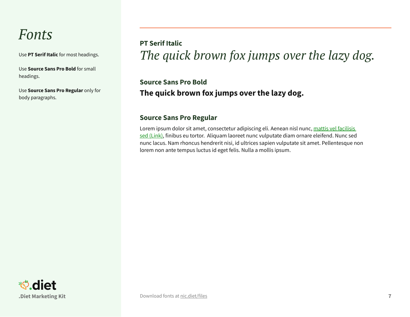### *Fonts*

Use **PT Serif Italic** for most headings.

Use **Source Sans Pro Bold** for small headings.

Use **Source Sans Pro Regular** only for body paragraphs.

*The quick brown fox jumps over the lazy dog.* **PT Serif Italic**

**The quick brown fox jumps over the lazy dog. Source Sans Pro Bold**

#### **Source Sans Pro Regular**

Lorem ipsum dolor sit amet, consectetur adipiscing eli. Aenean nisl nunc, mattis vel facilisis sed (Link), finibus eu tortor. Aliquam laoreet nunc vulputate diam ornare eleifend. Nunc sed nunc lacus. Nam rhoncus hendrerit nisi, id ultrices sapien vulputate sit amet. Pellentesque non lorem non ante tempus luctus id eget felis. Nulla a mollis ipsum.

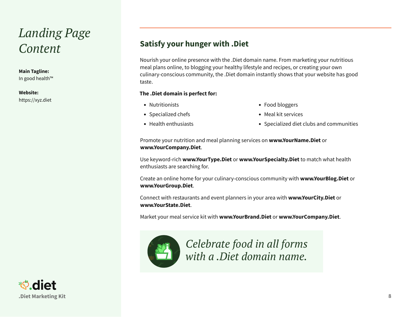### <span id="page-7-0"></span>*Landing Page Content*

#### **Main Tagline:**

In good health™

#### **Website:**

https://xyz.diet

#### **Satisfy your hunger with .Diet**

Nourish your online presence with the .Diet domain name. From marketing your nutritious meal plans online, to blogging your healthy lifestyle and recipes, or creating your own culinary-conscious community, the .Diet domain instantly shows that your website has good taste.

#### **The .Diet domain is perfect for:**

- Nutritionists
- Specialized chefs
- Health enthusiasts
- Food bloggers
- Meal kit services
- Specialized diet clubs and communities

Promote your nutrition and meal planning services on **www.YourName.Diet** or **www.YourCompany.Diet**.

Use keyword-rich **www.YourType.Diet** or **www.YourSpecialty.Diet** to match what health enthusiasts are searching for.

Create an online home for your culinary-conscious community with **www.YourBlog.Diet** or **www.YourGroup.Diet**.

Connect with restaurants and event planners in your area with **www.YourCity.Diet** or **www.YourState.Diet**.

Market your meal service kit with **www.YourBrand.Diet** or **www.YourCompany.Diet**.



*Celebrate food in all forms with a .Diet domain name.* 

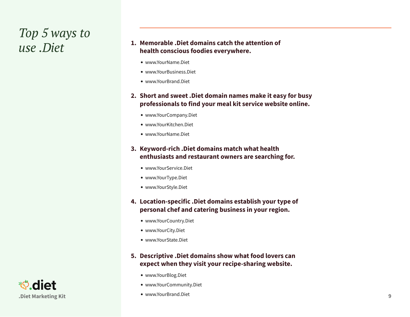## <span id="page-8-0"></span>*Top 5 ways to*

#### *use .Diet* **Memorable .Diet domains catch the attention of health conscious foodies everywhere.** 1. Memorable .Diet domains catch the attention of

- www.YourName.Diet
- www.YourBusiness.Diet
- www.YourBrand.Diet
- **2. Short and sweet .Diet domain names make it easy for busy professionals to find your meal kit service website online.**
	- www.YourCompany.Diet
	- www.YourKitchen.Diet
	- www.YourName.Diet

#### **3. Keyword-rich .Diet domains match what health enthusiasts and restaurant owners are searching for.**

- www.YourService.Diet
- www.YourType.Diet
- www.YourStyle.Diet

#### **4. Location-specific .Diet domains establish your type of personal chef and catering business in your region.**

- www.YourCountry.Diet
- www.YourCity.Diet
- www.YourState.Diet

#### **5. Descriptive .Diet domains show what food lovers can expect when they visit your recipe-sharing website.**

- www.YourBlog.Diet
- www.YourCommunity.Diet
- www.YourBrand.Diet

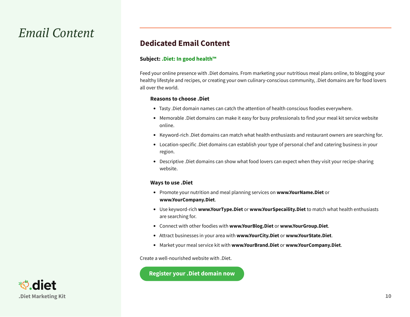### <span id="page-9-0"></span>*Email Content*

#### **Dedicated Email Content**

#### **Subject: .Diet: In good health™**

Feed your online presence with .Diet domains. From marketing your nutritious meal plans online, to blogging your healthy lifestyle and recipes, or creating your own culinary-conscious community, .Diet domains are for food lovers all over the world.

#### **Reasons to choose .Diet**

- Tasty .Diet domain names can catch the attention of health conscious foodies everywhere.
- Memorable .Diet domains can make it easy for busy professionals to find your meal kit service website online.
- Keyword-rich .Diet domains can match what health enthusiasts and restaurant owners are searching for.
- Location-specific .Diet domains can establish your type of personal chef and catering business in your region.
- Descriptive .Diet domains can show what food lovers can expect when they visit your recipe-sharing website.

#### **Ways to use .Diet**

- Promote your nutrition and meal planning services on **www.YourName.Diet** or **www.YourCompany.Diet**.
- Use keyword-rich **www.YourType.Diet** or **www.YourSpecaility.Diet** to match what health enthusiasts are searching for.
- Connect with other foodies with **www.YourBlog.Diet** or **www.YourGroup.Diet**.
- Attract businesses in your area with **www.YourCity.Diet** or **www.YourState.Diet**.
- Market your meal service kit with **www.YourBrand.Diet** or **www.YourCompany.Diet**.

Create a well-nourished website with .Diet.

**Register your .Diet domain now**